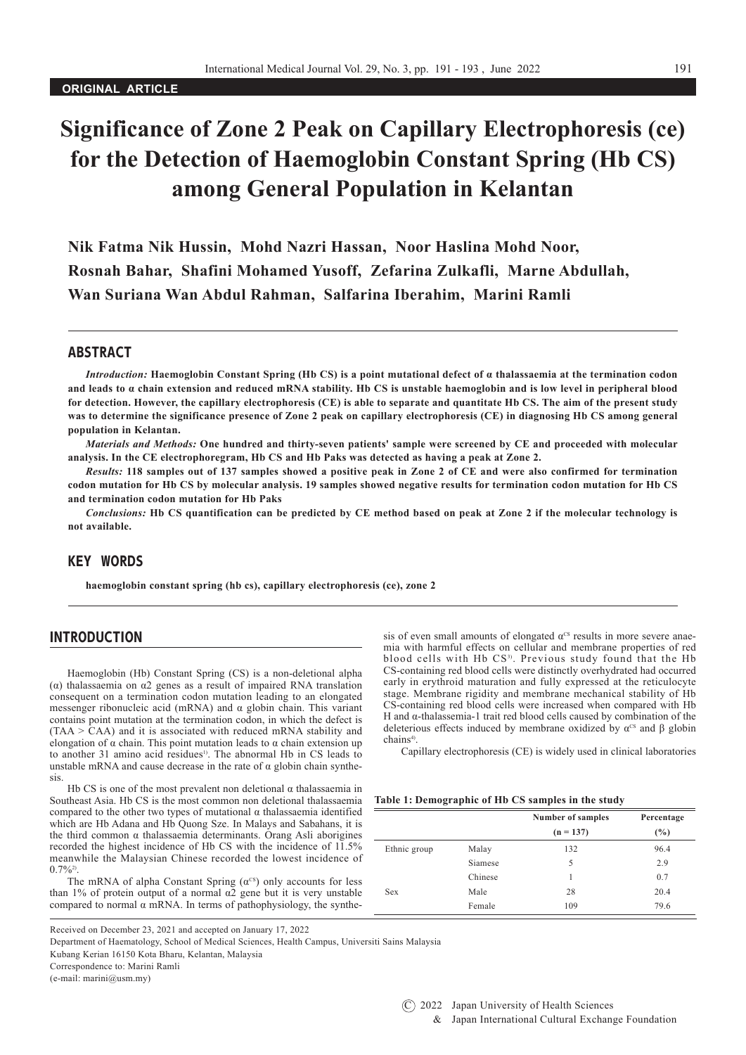# **Significance of Zone 2 Peak on Capillary Electrophoresis (ce) for the Detection of Haemoglobin Constant Spring (Hb CS) among General Population in Kelantan**

**Nik Fatma Nik Hussin, Mohd Nazri Hassan, Noor Haslina Mohd Noor, Rosnah Bahar, Shafini Mohamed Yusoff, Zefarina Zulkafli, Marne Abdullah, Wan Suriana Wan Abdul Rahman, Salfarina Iberahim, Marini Ramli**

#### ABSTRACT

*Introduction:* **Haemoglobin Constant Spring (Hb CS) is a point mutational defect of α thalassaemia at the termination codon and leads to α chain extension and reduced mRNA stability. Hb CS is unstable haemoglobin and is low level in peripheral blood for detection. However, the capillary electrophoresis (CE) is able to separate and quantitate Hb CS. The aim of the present study was to determine the significance presence of Zone 2 peak on capillary electrophoresis (CE) in diagnosing Hb CS among general population in Kelantan.** 

*Materials and Methods:* **One hundred and thirty-seven patients' sample were screened by CE and proceeded with molecular analysis. In the CE electrophoregram, Hb CS and Hb Paks was detected as having a peak at Zone 2.** 

*Results:* **118 samples out of 137 samples showed a positive peak in Zone 2 of CE and were also confirmed for termination codon mutation for Hb CS by molecular analysis. 19 samples showed negative results for termination codon mutation for Hb CS and termination codon mutation for Hb Paks** 

*Conclusions:* **Hb CS quantification can be predicted by CE method based on peak at Zone 2 if the molecular technology is not available.** 

# KEY WORDS

**haemoglobin constant spring (hb cs), capillary electrophoresis (ce), zone 2**

#### INTRODUCTION

Haemoglobin (Hb) Constant Spring (CS) is a non-deletional alpha (α) thalassaemia on α2 genes as a result of impaired RNA translation consequent on a termination codon mutation leading to an elongated messenger ribonucleic acid (mRNA) and α globin chain. This variant contains point mutation at the termination codon, in which the defect is  $(TAA > \overline{C}AA)$  and it is associated with reduced mRNA stability and elongation of α chain. This point mutation leads to α chain extension up to another 31 amino acid residues<sup>1)</sup>. The abnormal Hb in CS leads to unstable mRNA and cause decrease in the rate of  $\alpha$  globin chain synthesis.

Hb CS is one of the most prevalent non deletional  $\alpha$  thalassaemia in Southeast Asia. Hb CS is the most common non deletional thalassaemia compared to the other two types of mutational α thalassaemia identified which are Hb Adana and Hb Quong Sze. In Malays and Sabahans, it is the third common α thalassaemia determinants. Orang Asli aborigines recorded the highest incidence of Hb CS with the incidence of 11.5% meanwhile the Malaysian Chinese recorded the lowest incidence of  $0.7\%$ <sup>2)</sup>

The mRNA of alpha Constant Spring  $(\alpha^{cs})$  only accounts for less than 1% of protein output of a normal α2 gene but it is very unstable compared to normal  $\alpha$  mRNA. In terms of pathophysiology, the synthe-

Received on December 23, 2021 and accepted on January 17, 2022

Department of Haematology, School of Medical Sciences, Health Campus, Universiti Sains Malaysia

Kubang Kerian 16150 Kota Bharu, Kelantan, Malaysia

Correspondence to: Marini Ramli

(e-mail: marini@usm.my)

sis of even small amounts of elongated  $\alpha$ <sup>cs</sup> results in more severe anaemia with harmful effects on cellular and membrane properties of red blood cells with Hb CS<sup>3)</sup>. Previous study found that the Hb CS-containing red blood cells were distinctly overhydrated had occurred early in erythroid maturation and fully expressed at the reticulocyte stage. Membrane rigidity and membrane mechanical stability of Hb CS-containing red blood cells were increased when compared with Hb H and α-thalassemia-1 trait red blood cells caused by combination of the deleterious effects induced by membrane oxidized by  $\alpha$ <sup>cs</sup> and  $\beta$  globin chains4).

Capillary electrophoresis (CE) is widely used in clinical laboratories

#### **Table 1: Demographic of Hb CS samples in the study**

|              |                | <b>Number of samples</b><br>$(n = 137)$ | Percentage<br>(%) |
|--------------|----------------|-----------------------------------------|-------------------|
|              |                |                                         |                   |
| Ethnic group | Malay          | 132                                     | 96.4              |
|              | <b>Siamese</b> | 5                                       | 2.9               |
|              | Chinese        |                                         | 0.7               |
| <b>Sex</b>   | Male           | 28                                      | 20.4              |
|              | Female         | 109                                     | 79.6              |

 $(C)$  2022 Japan University of Health Sciences & Japan International Cultural Exchange Foundation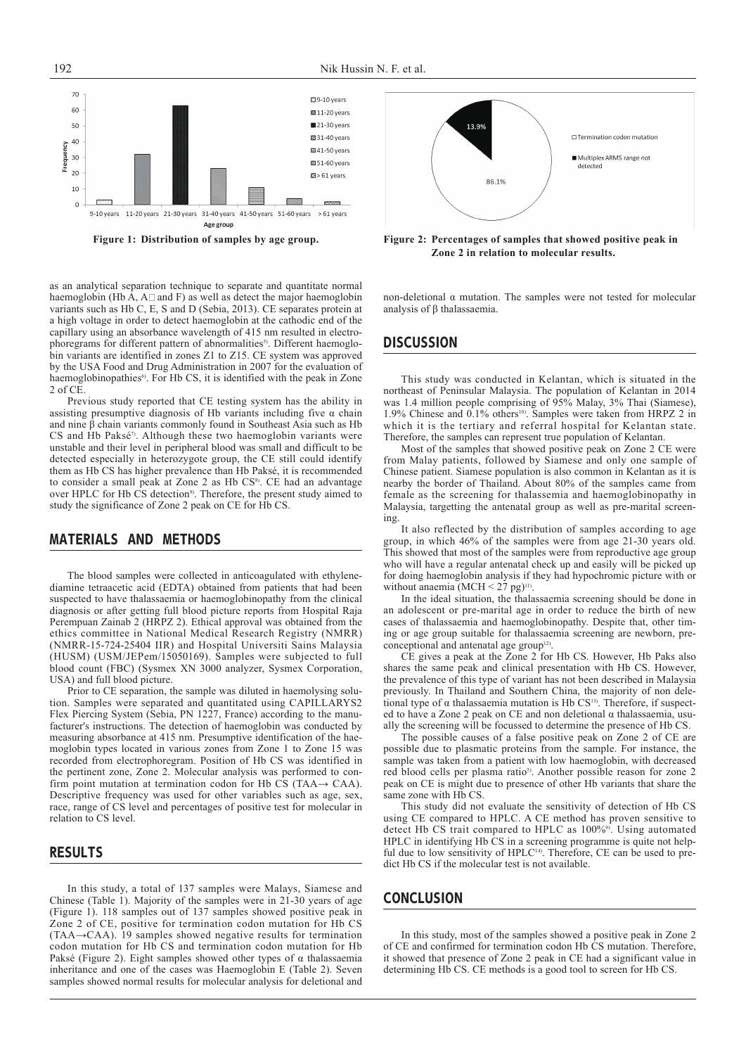

as an analytical separation technique to separate and quantitate normal haemoglobin (Hb A,  $A \Box$  and F) as well as detect the major haemoglobin variants such as Hb C, E, S and D (Sebia, 2013). CE separates protein at a high voltage in order to detect haemoglobin at the cathodic end of the capillary using an absorbance wavelength of 415 nm resulted in electrophoregrams for different pattern of abnormalities<sup>5)</sup>. Different haemoglobin variants are identified in zones Z1 to Z15. CE system was approved by the USA Food and Drug Administration in 2007 for the evaluation of haemoglobinopathies<sup>6)</sup>. For Hb CS, it is identified with the peak in Zone 2 of CE

Previous study reported that CE testing system has the ability in assisting presumptive diagnosis of Hb variants including five  $\alpha$  chain and nine  $\beta$  chain variants commonly found in Southeast Asia such as Hb CS and Hb Paksé<sup>7</sup>. Although these two haemoglobin variants were unstable and their level in peripheral blood was small and difficult to be detected especially in heterozygote group, the CE still could identify them as Hb CS has higher prevalence than Hb Paksé, it is recommended to consider a small peak at Zone 2 as Hb CS<sup>8)</sup>. CE had an advantage over HPLC for Hb CS detection<sup>9)</sup>. Therefore, the present study aimed to study the significance of Zone 2 peak on CE for Hb CS.

## MATERIALS AND METHODS

The blood samples were collected in anticoagulated with ethylenediamine tetraacetic acid (EDTA) obtained from patients that had been suspected to have thalassaemia or haemoglobinopathy from the clinical diagnosis or after getting full blood picture reports from Hospital Raja Perempuan Zainab 2 (HRPZ 2). Ethical approval was obtained from the ethics committee in National Medical Research Registry (NMRR) (NMRR-15-724-25404 IIR) and Hospital Universiti Sains Malaysia (HUSM) (USM/JEPem/15050169). Samples were subjected to full blood count (FBC) (Sysmex XN 3000 analyzer, Sysmex Corporation, USA) and full blood picture.

Prior to CE separation, the sample was diluted in haemolysing solution. Samples were separated and quantitated using CAPILLARYS2 Flex Piercing System (Sebia, PN 1227, France) according to the manufacturer's instructions. The detection of haemoglobin was conducted by measuring absorbance at 415 nm. Presumptive identification of the haemoglobin types located in various zones from Zone 1 to Zone 15 was recorded from electrophoregram. Position of Hb CS was identified in the pertinent zone, Zone 2. Molecular analysis was performed to confirm point mutation at termination codon for Hb CS (TAA $\rightarrow$  CAA). Descriptive frequency was used for other variables such as age, sex, race, range of CS level and percentages of positive test for molecular in relation to CS level.

## RESULTS

In this study, a total of 137 samples were Malays, Siamese and Chinese (Table 1). Majority of the samples were in 21-30 years of age (Figure 1). 118 samples out of 137 samples showed positive peak in Zone 2 of CE, positive for termination codon mutation for Hb CS (TAA→CAA). 19 samples showed negative results for termination codon mutation for Hb CS and termination codon mutation for Hb Paksé (Figure 2). Eight samples showed other types of α thalassaemia inheritance and one of the cases was Haemoglobin E (Table 2). Seven samples showed normal results for molecular analysis for deletional and



**Figure 1: Distribution of samples by age group. Figure 2: Percentages of samples that showed positive peak in Zone 2 in relation to molecular results.**

non-deletional α mutation. The samples were not tested for molecular analysis of β thalassaemia.

#### **DISCUSSION**

This study was conducted in Kelantan, which is situated in the northeast of Peninsular Malaysia. The population of Kelantan in 2014 was 1.4 million people comprising of 95% Malay, 3% Thai (Siamese), 1.9% Chinese and 0.1% others<sup>10</sup>. Samples were taken from HRPZ 2 in which it is the tertiary and referral hospital for Kelantan state. Therefore, the samples can represent true population of Kelantan.

Most of the samples that showed positive peak on Zone 2 CE were from Malay patients, followed by Siamese and only one sample of Chinese patient. Siamese population is also common in Kelantan as it is nearby the border of Thailand. About 80% of the samples came from female as the screening for thalassemia and haemoglobinopathy in Malaysia, targetting the antenatal group as well as pre-marital screening.

It also reflected by the distribution of samples according to age group, in which 46% of the samples were from age 21-30 years old. This showed that most of the samples were from reproductive age group who will have a regular antenatal check up and easily will be picked up for doing haemoglobin analysis if they had hypochromic picture with or without anaemia (MCH  $\leq$  27 pg)<sup>11)</sup>.

In the ideal situation, the thalassaemia screening should be done in an adolescent or pre-marital age in order to reduce the birth of new cases of thalassaemia and haemoglobinopathy. Despite that, other timing or age group suitable for thalassaemia screening are newborn, preconceptional and antenatal age group<sup>12)</sup>.

CE gives a peak at the Zone 2 for Hb CS. However, Hb Paks also shares the same peak and clinical presentation with Hb CS. However, the prevalence of this type of variant has not been described in Malaysia previously. In Thailand and Southern China, the majority of non deletional type of  $\alpha$  thalassaemia mutation is Hb CS<sup>13)</sup>. Therefore, if suspected to have a Zone 2 peak on CE and non deletional α thalassaemia, usually the screening will be focussed to determine the presence of Hb CS.

The possible causes of a false positive peak on Zone 2 of CE are possible due to plasmatic proteins from the sample. For instance, the sample was taken from a patient with low haemoglobin, with decreased red blood cells per plasma ratio<sup>5</sup>. Another possible reason for zone 2 peak on CE is might due to presence of other Hb variants that share the same zone with Hb CS.

This study did not evaluate the sensitivity of detection of Hb CS using CE compared to HPLC. A CE method has proven sensitive to detect Hb CS trait compared to HPLC as 100%<sup>9)</sup>. Using automated HPLC in identifying Hb CS in a screening programme is quite not helpful due to low sensitivity of HPLC<sup>14)</sup>. Therefore, CE can be used to predict Hb CS if the molecular test is not available.

# **CONCLUSION**

In this study, most of the samples showed a positive peak in Zone 2 of CE and confirmed for termination codon Hb CS mutation. Therefore, it showed that presence of Zone 2 peak in CE had a significant value in determining Hb CS. CE methods is a good tool to screen for Hb CS.